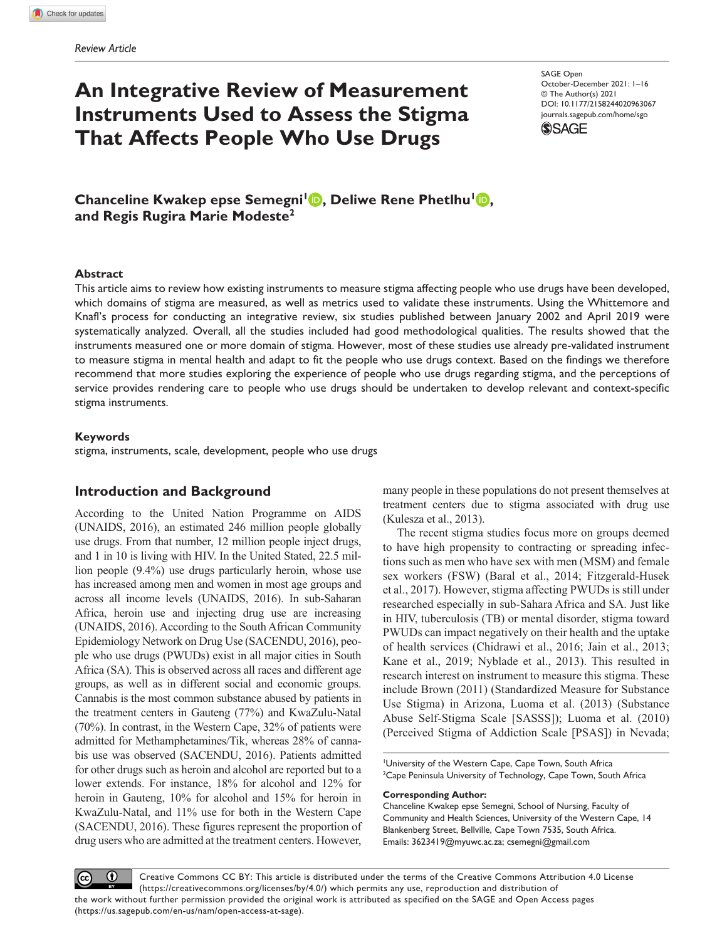# **An Integrative Review of Measurement Instruments Used to Assess the Stigma That Affects People Who Use Drugs**

DOI: 10.1177/2158244020963067 SAGE Open October-December 2021: 1–16 © The Author(s) 2021 [journals.sagepub.com/home/sgo](https://journals.sagepub.com/home/sgo)



**Chanceline Kwakep epse Semegni<sup>1</sup> <b>D**, Deliwe Rene Phetlhu<sup>1</sup> **D**, **and Regis Rugira Marie Modeste2**

#### **Abstract**

This article aims to review how existing instruments to measure stigma affecting people who use drugs have been developed, which domains of stigma are measured, as well as metrics used to validate these instruments. Using the Whittemore and Knafl's process for conducting an integrative review, six studies published between January 2002 and April 2019 were systematically analyzed. Overall, all the studies included had good methodological qualities. The results showed that the instruments measured one or more domain of stigma. However, most of these studies use already pre-validated instrument to measure stigma in mental health and adapt to fit the people who use drugs context. Based on the findings we therefore recommend that more studies exploring the experience of people who use drugs regarding stigma, and the perceptions of service provides rendering care to people who use drugs should be undertaken to develop relevant and context-specific stigma instruments.

#### **Keywords**

stigma, instruments, scale, development, people who use drugs

## **Introduction and Background**

According to the United Nation Programme on AIDS (UNAIDS, 2016), an estimated 246 million people globally use drugs. From that number, 12 million people inject drugs, and 1 in 10 is living with HIV. In the United Stated, 22.5 million people (9.4%) use drugs particularly heroin, whose use has increased among men and women in most age groups and across all income levels (UNAIDS, 2016). In sub-Saharan Africa, heroin use and injecting drug use are increasing (UNAIDS, 2016). According to the South African Community Epidemiology Network on Drug Use (SACENDU, 2016), people who use drugs (PWUDs) exist in all major cities in South Africa (SA). This is observed across all races and different age groups, as well as in different social and economic groups. Cannabis is the most common substance abused by patients in the treatment centers in Gauteng (77%) and KwaZulu-Natal (70%). In contrast, in the Western Cape, 32% of patients were admitted for Methamphetamines/Tik, whereas 28% of cannabis use was observed (SACENDU, 2016). Patients admitted for other drugs such as heroin and alcohol are reported but to a lower extends. For instance, 18% for alcohol and 12% for heroin in Gauteng, 10% for alcohol and 15% for heroin in KwaZulu-Natal, and 11% use for both in the Western Cape (SACENDU, 2016). These figures represent the proportion of drug users who are admitted at the treatment centers. However, many people in these populations do not present themselves at treatment centers due to stigma associated with drug use (Kulesza et al., 2013).

The recent stigma studies focus more on groups deemed to have high propensity to contracting or spreading infections such as men who have sex with men (MSM) and female sex workers (FSW) (Baral et al., 2014; Fitzgerald-Husek et al., 2017). However, stigma affecting PWUDs is still under researched especially in sub-Sahara Africa and SA. Just like in HIV, tuberculosis (TB) or mental disorder, stigma toward PWUDs can impact negatively on their health and the uptake of health services (Chidrawi et al., 2016; Jain et al., 2013; Kane et al., 2019; Nyblade et al., 2013). This resulted in research interest on instrument to measure this stigma. These include Brown (2011) (Standardized Measure for Substance Use Stigma) in Arizona, Luoma et al. (2013) (Substance Abuse Self-Stigma Scale [SASSS]); Luoma et al. (2010) (Perceived Stigma of Addiction Scale [PSAS]) in Nevada;

1 University of the Western Cape, Cape Town, South Africa  $^{2}$ Cape Peninsula University of Technology, Cape Town, South Africa

#### **Corresponding Author:**

Chanceline Kwakep epse Semegni, School of Nursing, Faculty of Community and Health Sciences, University of the Western Cape, 14 Blankenberg Street, Bellville, Cape Town 7535, South Africa. Emails: [3623419@myuwc.ac.za;](mailto:3623419@myuwc.ac.za) [csemegni@gmail.com](mailto:csemegni@gmail.com)

 $\bf \odot$ Creative Commons CC BY: This article is distributed under the terms of the Creative Commons Attribution 4.0 License  $(cc)$ (https://creativecommons.org/licenses/by/4.0/) which permits any use, reproduction and distribution of the work without further permission provided the original work is attributed as specified on the SAGE and Open Access pages (https://us.sagepub.com/en-us/nam/open-access-at-sage).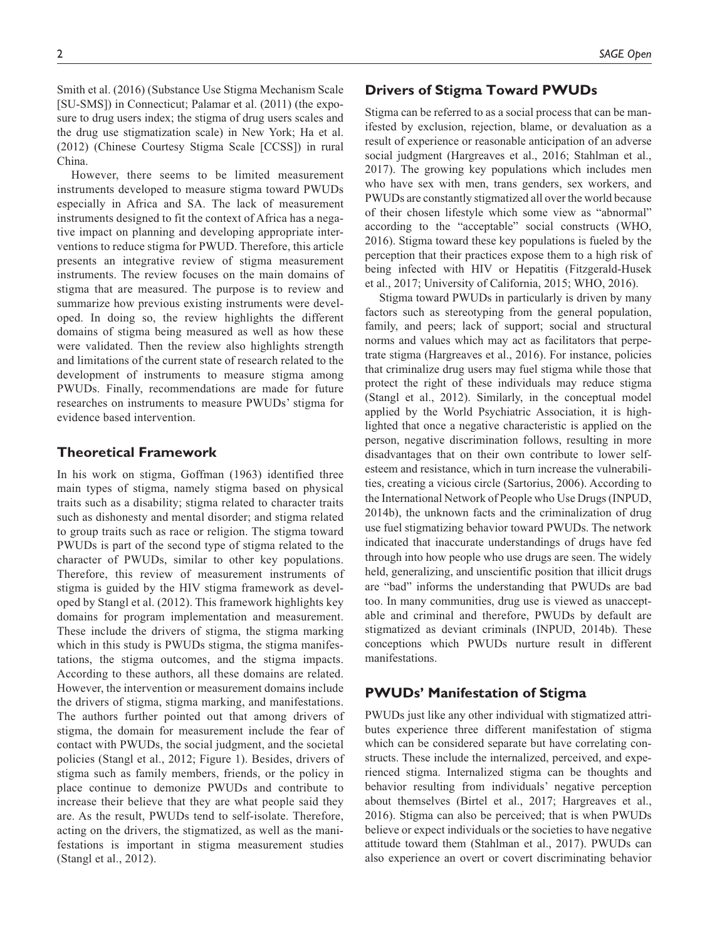Smith et al. (2016) (Substance Use Stigma Mechanism Scale [SU-SMS]) in Connecticut; Palamar et al. (2011) (the exposure to drug users index; the stigma of drug users scales and the drug use stigmatization scale) in New York; Ha et al. (2012) (Chinese Courtesy Stigma Scale [CCSS]) in rural China.

However, there seems to be limited measurement instruments developed to measure stigma toward PWUDs especially in Africa and SA. The lack of measurement instruments designed to fit the context of Africa has a negative impact on planning and developing appropriate interventions to reduce stigma for PWUD. Therefore, this article presents an integrative review of stigma measurement instruments. The review focuses on the main domains of stigma that are measured. The purpose is to review and summarize how previous existing instruments were developed. In doing so, the review highlights the different domains of stigma being measured as well as how these were validated. Then the review also highlights strength and limitations of the current state of research related to the development of instruments to measure stigma among PWUDs. Finally, recommendations are made for future researches on instruments to measure PWUDs' stigma for evidence based intervention.

## **Theoretical Framework**

In his work on stigma, Goffman (1963) identified three main types of stigma, namely stigma based on physical traits such as a disability; stigma related to character traits such as dishonesty and mental disorder; and stigma related to group traits such as race or religion. The stigma toward PWUDs is part of the second type of stigma related to the character of PWUDs, similar to other key populations. Therefore, this review of measurement instruments of stigma is guided by the HIV stigma framework as developed by Stangl et al. (2012). This framework highlights key domains for program implementation and measurement. These include the drivers of stigma, the stigma marking which in this study is PWUDs stigma, the stigma manifestations, the stigma outcomes, and the stigma impacts. According to these authors, all these domains are related. However, the intervention or measurement domains include the drivers of stigma, stigma marking, and manifestations. The authors further pointed out that among drivers of stigma, the domain for measurement include the fear of contact with PWUDs, the social judgment, and the societal policies (Stangl et al., 2012; Figure 1). Besides, drivers of stigma such as family members, friends, or the policy in place continue to demonize PWUDs and contribute to increase their believe that they are what people said they are. As the result, PWUDs tend to self-isolate. Therefore, acting on the drivers, the stigmatized, as well as the manifestations is important in stigma measurement studies (Stangl et al., 2012).

# **Drivers of Stigma Toward PWUDs**

Stigma can be referred to as a social process that can be manifested by exclusion, rejection, blame, or devaluation as a result of experience or reasonable anticipation of an adverse social judgment (Hargreaves et al., 2016; Stahlman et al., 2017). The growing key populations which includes men who have sex with men, trans genders, sex workers, and PWUDs are constantly stigmatized all over the world because of their chosen lifestyle which some view as "abnormal" according to the "acceptable" social constructs (WHO, 2016). Stigma toward these key populations is fueled by the perception that their practices expose them to a high risk of being infected with HIV or Hepatitis (Fitzgerald-Husek et al., 2017; University of California, 2015; WHO, 2016).

Stigma toward PWUDs in particularly is driven by many factors such as stereotyping from the general population, family, and peers; lack of support; social and structural norms and values which may act as facilitators that perpetrate stigma (Hargreaves et al., 2016). For instance, policies that criminalize drug users may fuel stigma while those that protect the right of these individuals may reduce stigma (Stangl et al., 2012). Similarly, in the conceptual model applied by the World Psychiatric Association, it is highlighted that once a negative characteristic is applied on the person, negative discrimination follows, resulting in more disadvantages that on their own contribute to lower selfesteem and resistance, which in turn increase the vulnerabilities, creating a vicious circle (Sartorius, 2006). According to the International Network of People who Use Drugs (INPUD, 2014b), the unknown facts and the criminalization of drug use fuel stigmatizing behavior toward PWUDs. The network indicated that inaccurate understandings of drugs have fed through into how people who use drugs are seen. The widely held, generalizing, and unscientific position that illicit drugs are "bad" informs the understanding that PWUDs are bad too. In many communities, drug use is viewed as unacceptable and criminal and therefore, PWUDs by default are stigmatized as deviant criminals (INPUD, 2014b). These conceptions which PWUDs nurture result in different manifestations.

## **PWUDs' Manifestation of Stigma**

PWUDs just like any other individual with stigmatized attributes experience three different manifestation of stigma which can be considered separate but have correlating constructs. These include the internalized, perceived, and experienced stigma. Internalized stigma can be thoughts and behavior resulting from individuals' negative perception about themselves (Birtel et al., 2017; Hargreaves et al., 2016). Stigma can also be perceived; that is when PWUDs believe or expect individuals or the societies to have negative attitude toward them (Stahlman et al., 2017). PWUDs can also experience an overt or covert discriminating behavior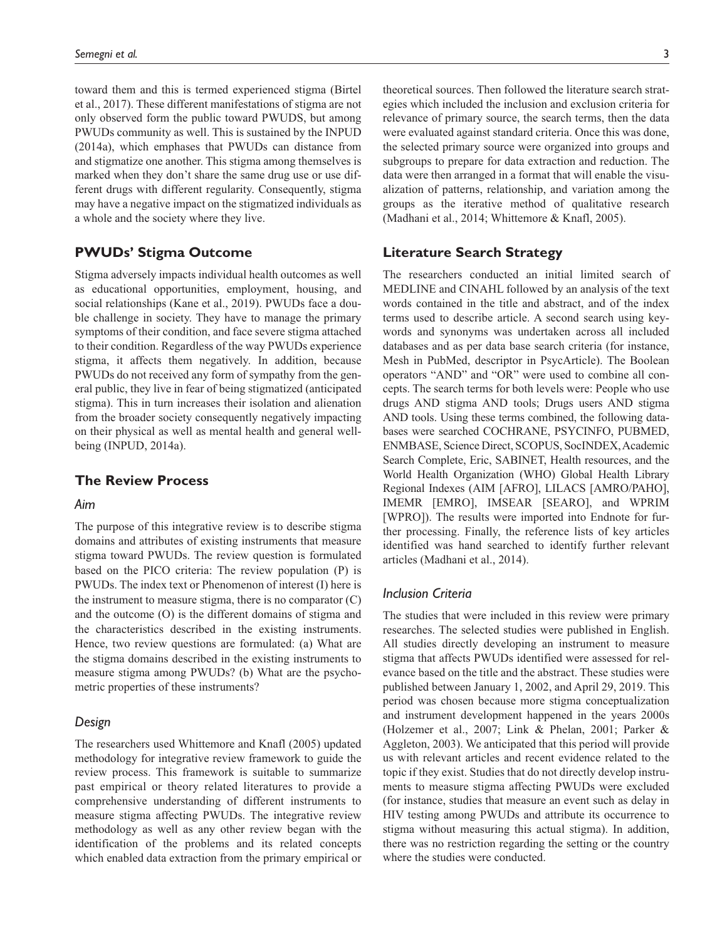toward them and this is termed experienced stigma (Birtel et al., 2017). These different manifestations of stigma are not only observed form the public toward PWUDS, but among PWUDs community as well. This is sustained by the INPUD (2014a), which emphases that PWUDs can distance from and stigmatize one another. This stigma among themselves is marked when they don't share the same drug use or use different drugs with different regularity. Consequently, stigma may have a negative impact on the stigmatized individuals as a whole and the society where they live.

## **PWUDs' Stigma Outcome**

Stigma adversely impacts individual health outcomes as well as educational opportunities, employment, housing, and social relationships (Kane et al., 2019). PWUDs face a double challenge in society. They have to manage the primary symptoms of their condition, and face severe stigma attached to their condition. Regardless of the way PWUDs experience stigma, it affects them negatively. In addition, because PWUDs do not received any form of sympathy from the general public, they live in fear of being stigmatized (anticipated stigma). This in turn increases their isolation and alienation from the broader society consequently negatively impacting on their physical as well as mental health and general wellbeing (INPUD, 2014a).

## **The Review Process**

#### *Aim*

The purpose of this integrative review is to describe stigma domains and attributes of existing instruments that measure stigma toward PWUDs. The review question is formulated based on the PICO criteria: The review population (P) is PWUDs. The index text or Phenomenon of interest (I) here is the instrument to measure stigma, there is no comparator (C) and the outcome (O) is the different domains of stigma and the characteristics described in the existing instruments. Hence, two review questions are formulated: (a) What are the stigma domains described in the existing instruments to measure stigma among PWUDs? (b) What are the psychometric properties of these instruments?

#### *Design*

The researchers used Whittemore and Knafl (2005) updated methodology for integrative review framework to guide the review process. This framework is suitable to summarize past empirical or theory related literatures to provide a comprehensive understanding of different instruments to measure stigma affecting PWUDs. The integrative review methodology as well as any other review began with the identification of the problems and its related concepts which enabled data extraction from the primary empirical or theoretical sources. Then followed the literature search strategies which included the inclusion and exclusion criteria for relevance of primary source, the search terms, then the data were evaluated against standard criteria. Once this was done, the selected primary source were organized into groups and subgroups to prepare for data extraction and reduction. The data were then arranged in a format that will enable the visualization of patterns, relationship, and variation among the groups as the iterative method of qualitative research (Madhani et al., 2014; Whittemore & Knafl, 2005).

## **Literature Search Strategy**

The researchers conducted an initial limited search of MEDLINE and CINAHL followed by an analysis of the text words contained in the title and abstract, and of the index terms used to describe article. A second search using keywords and synonyms was undertaken across all included databases and as per data base search criteria (for instance, Mesh in PubMed, descriptor in PsycArticle). The Boolean operators "AND" and "OR" were used to combine all concepts. The search terms for both levels were: People who use drugs AND stigma AND tools; Drugs users AND stigma AND tools. Using these terms combined, the following databases were searched COCHRANE, PSYCINFO, PUBMED, ENMBASE, Science Direct, SCOPUS, SocINDEX, Academic Search Complete, Eric, SABINET, Health resources, and the World Health Organization (WHO) Global Health Library Regional Indexes (AIM [AFRO], LILACS [AMRO/PAHO], IMEMR [EMRO], IMSEAR [SEARO], and WPRIM [WPRO]). The results were imported into Endnote for further processing. Finally, the reference lists of key articles identified was hand searched to identify further relevant articles (Madhani et al., 2014).

## *Inclusion Criteria*

The studies that were included in this review were primary researches. The selected studies were published in English. All studies directly developing an instrument to measure stigma that affects PWUDs identified were assessed for relevance based on the title and the abstract. These studies were published between January 1, 2002, and April 29, 2019. This period was chosen because more stigma conceptualization and instrument development happened in the years 2000s (Holzemer et al., 2007; Link & Phelan, 2001; Parker & Aggleton, 2003). We anticipated that this period will provide us with relevant articles and recent evidence related to the topic if they exist. Studies that do not directly develop instruments to measure stigma affecting PWUDs were excluded (for instance, studies that measure an event such as delay in HIV testing among PWUDs and attribute its occurrence to stigma without measuring this actual stigma). In addition, there was no restriction regarding the setting or the country where the studies were conducted.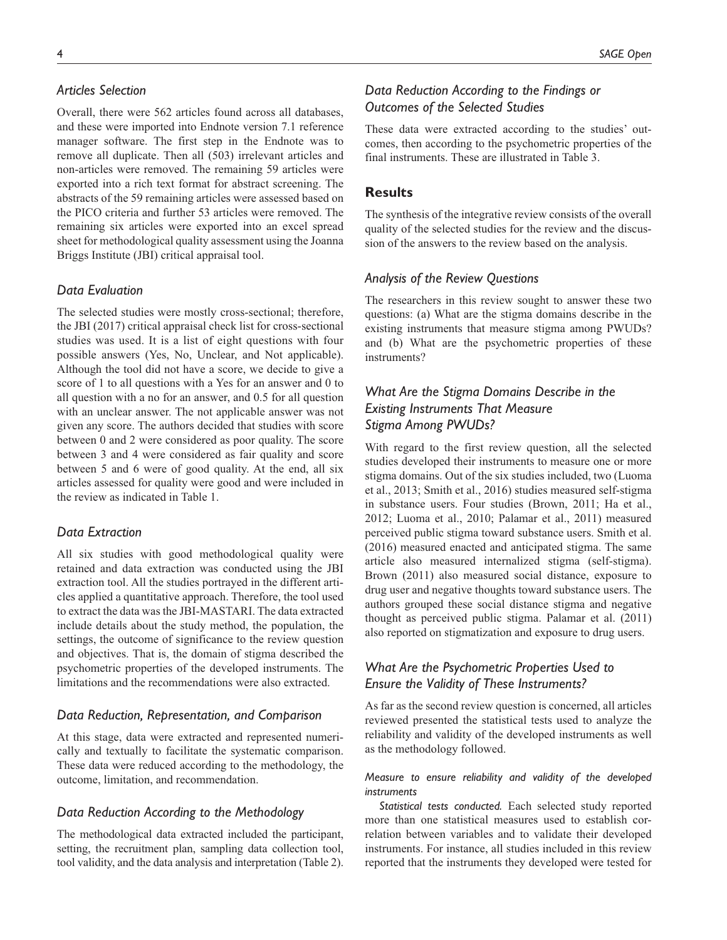# *Articles Selection*

Overall, there were 562 articles found across all databases, and these were imported into Endnote version 7.1 reference manager software. The first step in the Endnote was to remove all duplicate. Then all (503) irrelevant articles and non-articles were removed. The remaining 59 articles were exported into a rich text format for abstract screening. The abstracts of the 59 remaining articles were assessed based on the PICO criteria and further 53 articles were removed. The remaining six articles were exported into an excel spread sheet for methodological quality assessment using the Joanna Briggs Institute (JBI) critical appraisal tool.

## *Data Evaluation*

The selected studies were mostly cross-sectional; therefore, the JBI (2017) critical appraisal check list for cross-sectional studies was used. It is a list of eight questions with four possible answers (Yes, No, Unclear, and Not applicable). Although the tool did not have a score, we decide to give a score of 1 to all questions with a Yes for an answer and 0 to all question with a no for an answer, and 0.5 for all question with an unclear answer. The not applicable answer was not given any score. The authors decided that studies with score between 0 and 2 were considered as poor quality. The score between 3 and 4 were considered as fair quality and score between 5 and 6 were of good quality. At the end, all six articles assessed for quality were good and were included in the review as indicated in Table 1.

## *Data Extraction*

All six studies with good methodological quality were retained and data extraction was conducted using the JBI extraction tool. All the studies portrayed in the different articles applied a quantitative approach. Therefore, the tool used to extract the data was the JBI-MASTARI. The data extracted include details about the study method, the population, the settings, the outcome of significance to the review question and objectives. That is, the domain of stigma described the psychometric properties of the developed instruments. The limitations and the recommendations were also extracted.

## *Data Reduction, Representation, and Comparison*

At this stage, data were extracted and represented numerically and textually to facilitate the systematic comparison. These data were reduced according to the methodology, the outcome, limitation, and recommendation.

## *Data Reduction According to the Methodology*

The methodological data extracted included the participant, setting, the recruitment plan, sampling data collection tool, tool validity, and the data analysis and interpretation (Table 2).

# *Data Reduction According to the Findings or Outcomes of the Selected Studies*

These data were extracted according to the studies' outcomes, then according to the psychometric properties of the final instruments. These are illustrated in Table 3.

## **Results**

The synthesis of the integrative review consists of the overall quality of the selected studies for the review and the discussion of the answers to the review based on the analysis.

## *Analysis of the Review Questions*

The researchers in this review sought to answer these two questions: (a) What are the stigma domains describe in the existing instruments that measure stigma among PWUDs? and (b) What are the psychometric properties of these instruments?

# *What Are the Stigma Domains Describe in the Existing Instruments That Measure Stigma Among PWUDs?*

With regard to the first review question, all the selected studies developed their instruments to measure one or more stigma domains. Out of the six studies included, two (Luoma et al., 2013; Smith et al., 2016) studies measured self-stigma in substance users. Four studies (Brown, 2011; Ha et al., 2012; Luoma et al., 2010; Palamar et al., 2011) measured perceived public stigma toward substance users. Smith et al. (2016) measured enacted and anticipated stigma. The same article also measured internalized stigma (self-stigma). Brown (2011) also measured social distance, exposure to drug user and negative thoughts toward substance users. The authors grouped these social distance stigma and negative thought as perceived public stigma. Palamar et al. (2011) also reported on stigmatization and exposure to drug users.

# *What Are the Psychometric Properties Used to Ensure the Validity of These Instruments?*

As far as the second review question is concerned, all articles reviewed presented the statistical tests used to analyze the reliability and validity of the developed instruments as well as the methodology followed.

## *Measure to ensure reliability and validity of the developed instruments*

*Statistical tests conducted.* Each selected study reported more than one statistical measures used to establish correlation between variables and to validate their developed instruments. For instance, all studies included in this review reported that the instruments they developed were tested for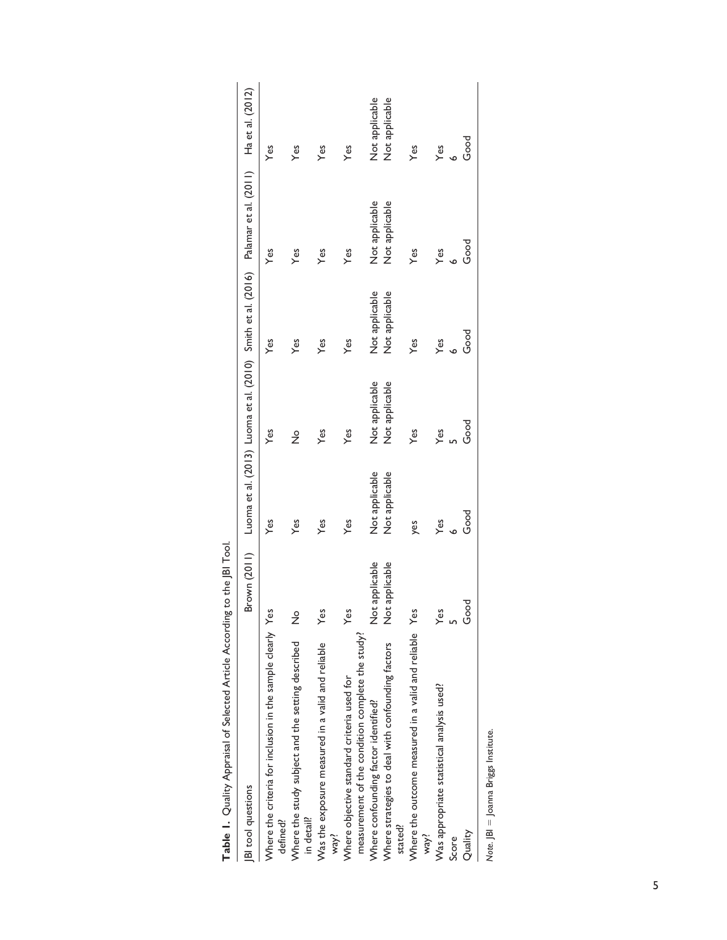| Table 1. Quality Appraisal of Selected Article According to the JBI Tool.                      |                             |                |                |                |                                                                                                |                  |
|------------------------------------------------------------------------------------------------|-----------------------------|----------------|----------------|----------------|------------------------------------------------------------------------------------------------|------------------|
| <b>BI</b> tool questions                                                                       |                             |                |                |                | Brown (2011) Luoma et al. (2013) Luoma et al. (2010) Smith et al. (2016) Palamar et al. (2011) | Ha et al. (2012) |
| Where the criteria for inclusion in the sample clearly Yes<br>defined?                         |                             | Yes            | Yes            | Yes            | Yes                                                                                            | Yes              |
| Where the study subject and the setting described<br>in detail?                                | $\frac{1}{2}$               | Yes            | $\frac{1}{2}$  | Yes            | Yes                                                                                            | Yes              |
| Was the exposure measured in a valid and reliable<br>way!                                      | Yes                         | Yes            | Yes            | Yes            | Yes                                                                                            | Yes              |
| measurement of the condition complete the study?<br>Where objective standard criteria used for | Yes                         | Yes            | Yes            | Yes            | Yes                                                                                            | Yes              |
| Where confounding factor identified?                                                           | applicable<br>$\frac{5}{2}$ | Not applicable | Not applicable | Not applicable | Not applicable                                                                                 | Not applicable   |
| Where strategies to deal with confounding factors<br>stated!                                   | applicable<br>$\frac{5}{2}$ | Not applicable | Not applicable | Not applicable | Not applicable                                                                                 | Not applicable   |
| Where the outcome measured in a valid and reliable Yes<br>way!                                 |                             | yes            | Yes            | Yes            | Yes                                                                                            | Yes              |
| Was appropriate statistical analysis used?                                                     | Yes                         | Yes            | Yes            | Yes            | Yes                                                                                            | Yes              |
| Score                                                                                          |                             |                |                |                |                                                                                                |                  |
| Quality                                                                                        | Good                        | Good           | Good           | Good           | Good                                                                                           | Good             |
| Note. JBI = Joanna Briggs Institute.                                                           |                             |                |                |                |                                                                                                |                  |

| <br> <br>                     |
|-------------------------------|
|                               |
| )<br>2<br>2<br>2<br>$-24.4$   |
|                               |
|                               |
|                               |
| りりりり<br>$-10$<br>נ<br>-       |
| $\frac{1}{2}$                 |
| -------<br>$\frac{3}{5}$<br>ļ |
|                               |
|                               |
| j                             |
| ;<br>                         |

5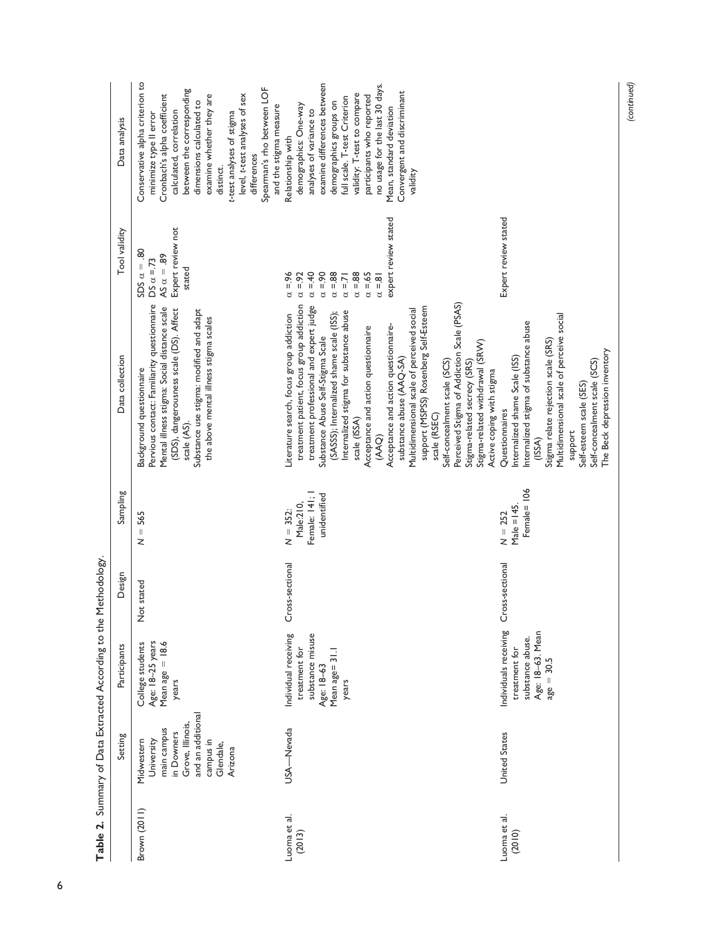|                        | Setting                                                                                                                             | Participants                                                                                       | Design                  | Sampling                                                                                                                                                                                                                                                                                                                                                                                                                                                                             | Data collection                                                                                                                                                                                                                                                                                                                                                                                                                                                                                                                                                                                                                                                                      | Tool validity                                                                                                                                                              | Data analysis                                                                                                                                                                                                                                                                                                                                               |
|------------------------|-------------------------------------------------------------------------------------------------------------------------------------|----------------------------------------------------------------------------------------------------|-------------------------|--------------------------------------------------------------------------------------------------------------------------------------------------------------------------------------------------------------------------------------------------------------------------------------------------------------------------------------------------------------------------------------------------------------------------------------------------------------------------------------|--------------------------------------------------------------------------------------------------------------------------------------------------------------------------------------------------------------------------------------------------------------------------------------------------------------------------------------------------------------------------------------------------------------------------------------------------------------------------------------------------------------------------------------------------------------------------------------------------------------------------------------------------------------------------------------|----------------------------------------------------------------------------------------------------------------------------------------------------------------------------|-------------------------------------------------------------------------------------------------------------------------------------------------------------------------------------------------------------------------------------------------------------------------------------------------------------------------------------------------------------|
| Brown (2011)           | and an additional<br>Grove, Illinois,<br>main campus<br>in Downers<br>University<br>campus in<br>Midwestern<br>Glendale,<br>Arizona | Age: 18-25 years<br>Mean age $= 18.6$<br>College students<br>years                                 | stated<br>$\frac{5}{2}$ | 565<br>$\label{eq:1} \begin{array}{c} \prod_{i=1}^n \left( \frac{1}{n} \right) \left( \frac{1}{n} \right) \left( \frac{1}{n} \right) \left( \frac{1}{n} \right) \left( \frac{1}{n} \right) \left( \frac{1}{n} \right) \left( \frac{1}{n} \right) \left( \frac{1}{n} \right) \left( \frac{1}{n} \right) \left( \frac{1}{n} \right) \left( \frac{1}{n} \right) \left( \frac{1}{n} \right) \left( \frac{1}{n} \right) \left( \frac{1}{n} \right) \left( \frac{1}{n} \right) \left$<br>z | Pervious contact: Familiarity questionnaire<br>Mental illness stigma: Social distance scale<br>(SDS), dangerousness scale (DS). Affect<br>Substance use stigma: modified and adapt<br>the above mental illness stigma scales<br>Background questionnaire<br>scale (AS).                                                                                                                                                                                                                                                                                                                                                                                                              | Expert review not<br>80<br>AS $\alpha = .89$<br>$DS \alpha = 73$<br>SDS $\alpha$ =<br>stated                                                                               | Conservative alpha criterion to<br>Spearman's rho between LOF<br>between the corresponding<br>level, t-test analyses of sex<br>Cronbach's alpha coefficient<br>examine whether they are<br>dimensions calculated to<br>and the stigma measure<br>calculated, correlation<br>t-test analyses of stigma<br>minimize type II error<br>differences<br>distinct. |
| Luoma et al.<br>(2013) | USA-Nevada                                                                                                                          | substance misuse<br>Individual receiving<br>treatment for<br>Mean age= 31.1<br>Age: 18-63<br>years | Cross-sectional         | Female: 141; 1<br>unidentified<br>Male:210,<br>$N = 352$                                                                                                                                                                                                                                                                                                                                                                                                                             | Perceived Stigma of Addiction Scale (PSAS)<br>treatment patient, focus group addiction<br>treatment professional and expert judge<br>support (MSPSS) Rosenberg Self-Esteem<br>Multidimensional scale of perceived social<br>Internalized stigma for substance abuse<br>(SASSS); Internalized shame scale (ISS);<br>Literature search, focus group addiction<br>Acceptance and action questionnaire-<br>Acceptance and action questionnaire<br>Substance Abuse Self-Stigma Scale<br>Stigma-related withdrawal (SRVV)<br>substance abuse (AAQ-SA)<br>Self-concealment scale (SCS)<br>Stigma-related secrecy (SRS)<br>Active coping with stigma<br>scale (RSEC)<br>scale (ISSA)<br>QAA) | expert review stated<br>$\alpha = 88$<br>$= 96$<br>$\alpha = 92$<br>$\alpha = 40$<br>$= .90$<br>$\alpha = 88$<br>$\alpha = 65$<br>$\alpha = 71$<br>$\alpha = 81$<br>ರ<br>ರ | examine differences between<br>no usage for the last 30 days.<br>Convergent and discriminant<br>validity: T-test to compare<br>participants who reported<br>full scale. T-test Criterion<br>demographics groups on<br>demographics: One-way<br>Mean, standard deviation<br>analyses of variance to<br>Relationship with<br>validity                         |
| Luoma et al.<br>(2010) | <b>United States</b>                                                                                                                | Individuals receiving<br>Age: 18-63. Mean<br>substance abuse.<br>treatment for<br>$age = 30.5$     | Cross-sectional         | Female=106<br>$Male = 145.$<br>$N = 252$                                                                                                                                                                                                                                                                                                                                                                                                                                             | Multidimensional scale of perceive social<br>Internalized stigma of substance abuse<br>Stigma relate rejection scale (SRS)<br>The Beck depression inventory<br>nternalized shame Scale (ISS)<br>Self-concealment scale (SCS)<br>Self-esteem scale (SES)<br>Questionnaires<br>support<br>(ISSA)                                                                                                                                                                                                                                                                                                                                                                                       | Expert review stated                                                                                                                                                       |                                                                                                                                                                                                                                                                                                                                                             |

*(continued)*

Table 2. Summary of Data Extracted According to the Methodology. **Table 2.** Summary of Data Extracted According to the Methodology.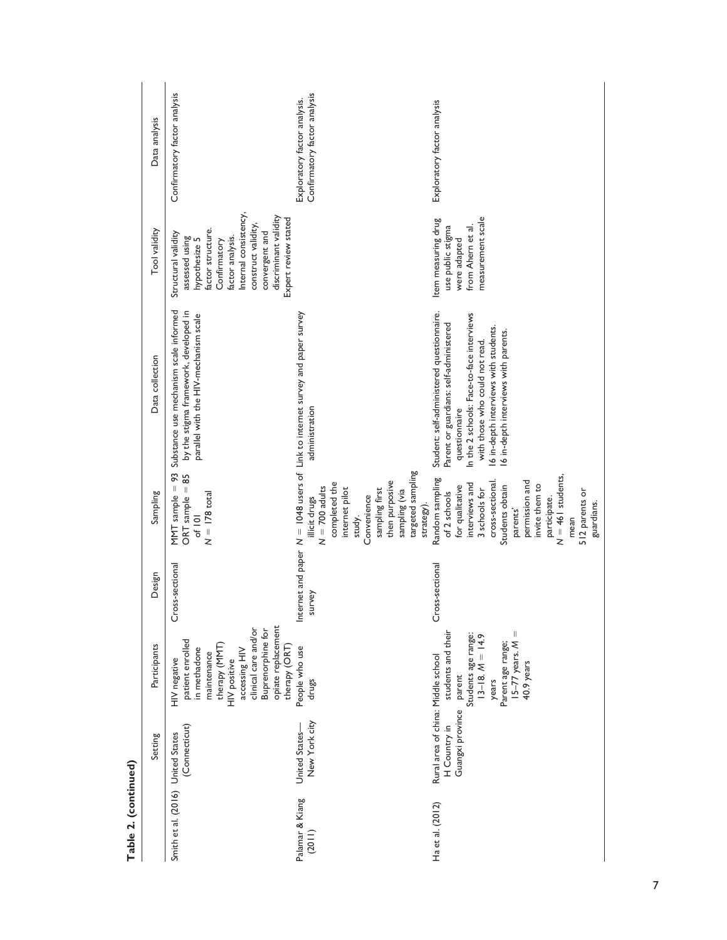| Data analysis   | Confirmatory factor analysis                                                                                                                                                                                                       | Confirmatory factor analysis<br>Exploratory factor analysis.                                                                                                                          | Exploratory factor analysis                                                                                                                                                                                                                                         |
|-----------------|------------------------------------------------------------------------------------------------------------------------------------------------------------------------------------------------------------------------------------|---------------------------------------------------------------------------------------------------------------------------------------------------------------------------------------|---------------------------------------------------------------------------------------------------------------------------------------------------------------------------------------------------------------------------------------------------------------------|
| Tool validity   | Internal consistency,<br>discriminant validity<br>Expert review stated<br>construct validity.<br>factor structure.<br>Structural validity<br>convergent and<br>factor analysis.<br>assessed using<br>hypothesize 5<br>Confirmatory |                                                                                                                                                                                       | measurement scale<br>Item measuring drug<br>use public stigma<br>from Ahern et al<br>were adapted                                                                                                                                                                   |
| Data collection | Substance use mechanism scale informed<br>by the stigma framework, developed in<br>parallel with the HIV-mechanism scale                                                                                                           | $N = 1048$ users of Link to internet survey and paper survey<br>administration                                                                                                        | Student: self-administered questionnaire.<br>In the 2 schools: Face-to-face interviews<br>Parent or guardians: self-administered<br>16 in-depth interviews with students.<br>6 in-depth interviews with parents.<br>with those who could not read.<br>questionnaire |
| Sampling        | MMT sample $= 93$<br>85<br>$ORT$ sample $=$<br>$N = 178$ total<br>of 101                                                                                                                                                           | targeted sampling<br>then purposive<br>completed the<br>$N = 700$ adults<br>internet pilot<br>sampling first<br>sampling (via<br>Convenience<br>illicit drugs<br>strategy).<br>study. | $N = 461$ students,<br>Random sampling<br>permission and<br>cross-sectional<br>interviews and<br>invite them to<br>for qualitative<br>Students obtain<br>3 schools for<br>512 parents or<br>of 2 schools<br>participate.<br>guardians.<br>parents'<br>mean          |
| Design          | Cross-sectional                                                                                                                                                                                                                    | Internet and paper<br>survey                                                                                                                                                          | Cross-sectional                                                                                                                                                                                                                                                     |
| Participants    | opiate replacement<br>clinical care and/or<br><b>Buprenorphine for</b><br>patient enrolled<br>therapy (MMT<br>therapy $(ORT)$<br>in methadone<br>accessing HIV<br>maintenance<br>HIV negative<br>HIV positive                      | People who use<br>drugs                                                                                                                                                               | students and their<br>$15-77$ years. $M =$<br>Students age range:<br>$13-18. M = 14.9$<br>Parent age range;<br>40.9 years<br>parent<br>years                                                                                                                        |
| Setting         | (Connecticut)                                                                                                                                                                                                                      | New York city<br>United States-                                                                                                                                                       | Rural area of china: Middle school<br>Guangxi province<br>H Country in                                                                                                                                                                                              |
|                 | Smith et al. (2016) United States                                                                                                                                                                                                  | Palamar & Kiang<br>(2011)                                                                                                                                                             | Ha et al. (2012)                                                                                                                                                                                                                                                    |

| h           |
|-------------|
| Ξ<br>í<br>t |
| Ţ           |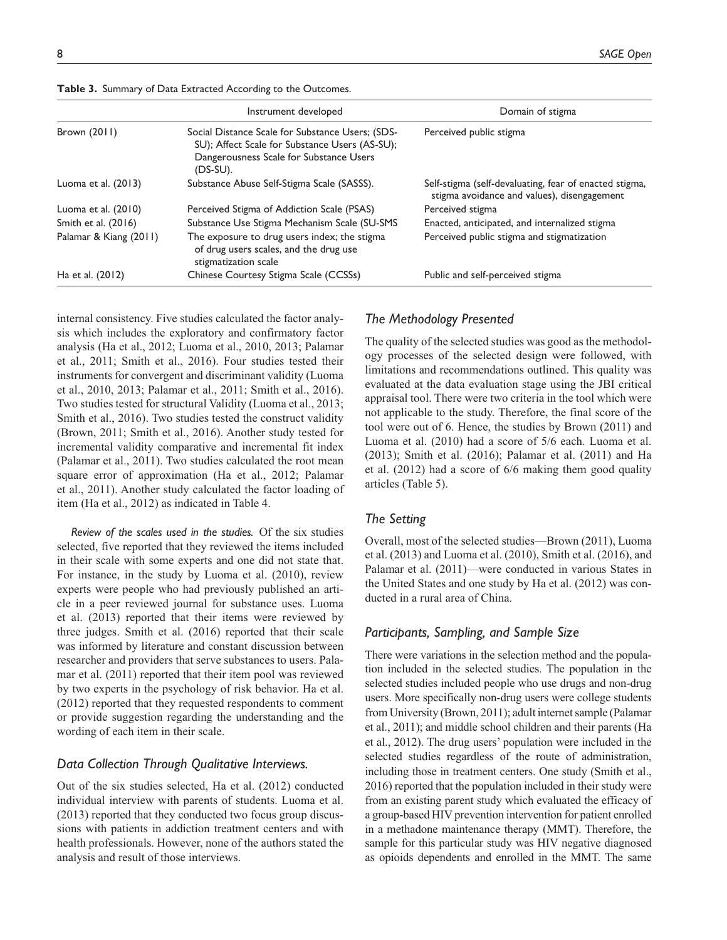|                        | Instrument developed                                                                                                                                      | Domain of stigma                                                                                      |
|------------------------|-----------------------------------------------------------------------------------------------------------------------------------------------------------|-------------------------------------------------------------------------------------------------------|
| Brown (2011)           | Social Distance Scale for Substance Users; (SDS-<br>SU); Affect Scale for Substance Users (AS-SU);<br>Dangerousness Scale for Substance Users<br>(DS-SU). | Perceived public stigma                                                                               |
| Luoma et al. (2013)    | Substance Abuse Self-Stigma Scale (SASSS).                                                                                                                | Self-stigma (self-devaluating, fear of enacted stigma,<br>stigma avoidance and values), disengagement |
| Luoma et al. $(2010)$  | Perceived Stigma of Addiction Scale (PSAS)                                                                                                                | Perceived stigma                                                                                      |
| Smith et al. (2016)    | Substance Use Stigma Mechanism Scale (SU-SMS)                                                                                                             | Enacted, anticipated, and internalized stigma                                                         |
| Palamar & Kiang (2011) | The exposure to drug users index; the stigma<br>of drug users scales, and the drug use<br>stigmatization scale                                            | Perceived public stigma and stigmatization                                                            |
| Ha et al. (2012)       | Chinese Courtesy Stigma Scale (CCSSs)                                                                                                                     | Public and self-perceived stigma                                                                      |

**Table 3.** Summary of Data Extracted According to the Outcomes.

internal consistency. Five studies calculated the factor analysis which includes the exploratory and confirmatory factor analysis (Ha et al., 2012; Luoma et al., 2010, 2013; Palamar et al., 2011; Smith et al., 2016). Four studies tested their instruments for convergent and discriminant validity (Luoma et al., 2010, 2013; Palamar et al., 2011; Smith et al., 2016). Two studies tested for structural Validity (Luoma et al., 2013; Smith et al., 2016). Two studies tested the construct validity (Brown, 2011; Smith et al., 2016). Another study tested for incremental validity comparative and incremental fit index (Palamar et al., 2011). Two studies calculated the root mean square error of approximation (Ha et al., 2012; Palamar et al., 2011). Another study calculated the factor loading of item (Ha et al., 2012) as indicated in Table 4.

*Review of the scales used in the studies.* Of the six studies selected, five reported that they reviewed the items included in their scale with some experts and one did not state that. For instance, in the study by Luoma et al. (2010), review experts were people who had previously published an article in a peer reviewed journal for substance uses. Luoma et al. (2013) reported that their items were reviewed by three judges. Smith et al. (2016) reported that their scale was informed by literature and constant discussion between researcher and providers that serve substances to users. Palamar et al. (2011) reported that their item pool was reviewed by two experts in the psychology of risk behavior. Ha et al. (2012) reported that they requested respondents to comment or provide suggestion regarding the understanding and the wording of each item in their scale.

## *Data Collection Through Qualitative Interviews.*

Out of the six studies selected, Ha et al. (2012) conducted individual interview with parents of students. Luoma et al. (2013) reported that they conducted two focus group discussions with patients in addiction treatment centers and with health professionals. However, none of the authors stated the analysis and result of those interviews.

## *The Methodology Presented*

The quality of the selected studies was good as the methodology processes of the selected design were followed, with limitations and recommendations outlined. This quality was evaluated at the data evaluation stage using the JBI critical appraisal tool. There were two criteria in the tool which were not applicable to the study. Therefore, the final score of the tool were out of 6. Hence, the studies by Brown (2011) and Luoma et al. (2010) had a score of 5/6 each. Luoma et al. (2013); Smith et al. (2016); Palamar et al. (2011) and Ha et al. (2012) had a score of 6/6 making them good quality articles (Table 5).

#### *The Setting*

Overall, most of the selected studies—Brown (2011), Luoma et al. (2013) and Luoma et al. (2010), Smith et al. (2016), and Palamar et al. (2011)—were conducted in various States in the United States and one study by Ha et al. (2012) was conducted in a rural area of China.

## *Participants, Sampling, and Sample Size*

There were variations in the selection method and the population included in the selected studies. The population in the selected studies included people who use drugs and non-drug users. More specifically non-drug users were college students from University (Brown, 2011); adult internet sample (Palamar et al., 2011); and middle school children and their parents (Ha et al., 2012). The drug users' population were included in the selected studies regardless of the route of administration, including those in treatment centers. One study (Smith et al., 2016) reported that the population included in their study were from an existing parent study which evaluated the efficacy of a group-based HIV prevention intervention for patient enrolled in a methadone maintenance therapy (MMT). Therefore, the sample for this particular study was HIV negative diagnosed as opioids dependents and enrolled in the MMT. The same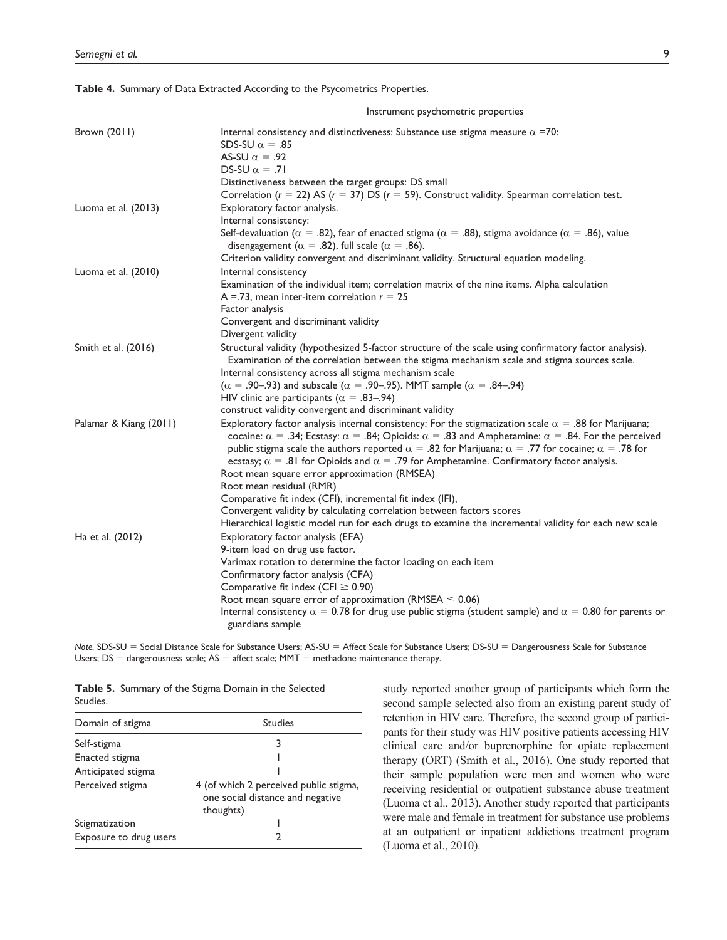|                        | Instrument psychometric properties                                                                                                                                                                                                                                                                                                                                                                                                                                                                                                                                                                                                                                                                                                                                                                           |
|------------------------|--------------------------------------------------------------------------------------------------------------------------------------------------------------------------------------------------------------------------------------------------------------------------------------------------------------------------------------------------------------------------------------------------------------------------------------------------------------------------------------------------------------------------------------------------------------------------------------------------------------------------------------------------------------------------------------------------------------------------------------------------------------------------------------------------------------|
| Brown (2011)           | Internal consistency and distinctiveness: Substance use stigma measure $\alpha$ =70:<br>SDS-SU $\alpha = .85$<br>AS-SU $\alpha = .92$<br>DS-SU $\alpha = .71$<br>Distinctiveness between the target groups: DS small<br>Correlation ( $r = 22$ ) AS ( $r = 37$ ) DS ( $r = 59$ ). Construct validity. Spearman correlation test.                                                                                                                                                                                                                                                                                                                                                                                                                                                                             |
| Luoma et al. (2013)    | Exploratory factor analysis.<br>Internal consistency:<br>Self-devaluation ( $\alpha = .82$ ), fear of enacted stigma ( $\alpha = .88$ ), stigma avoidance ( $\alpha = .86$ ), value<br>disengagement ( $\alpha$ = .82), full scale ( $\alpha$ = .86).<br>Criterion validity convergent and discriminant validity. Structural equation modeling.                                                                                                                                                                                                                                                                                                                                                                                                                                                              |
| Luoma et al. (2010)    | Internal consistency<br>Examination of the individual item; correlation matrix of the nine items. Alpha calculation<br>A =.73, mean inter-item correlation $r = 25$<br>Factor analysis<br>Convergent and discriminant validity<br>Divergent validity                                                                                                                                                                                                                                                                                                                                                                                                                                                                                                                                                         |
| Smith et al. (2016)    | Structural validity (hypothesized 5-factor structure of the scale using confirmatory factor analysis).<br>Examination of the correlation between the stigma mechanism scale and stigma sources scale.<br>Internal consistency across all stigma mechanism scale<br>(α = .90–.93) and subscale (α = .90–.95). MMT sample (α = .84–.94)<br>HIV clinic are participants ( $\alpha = .83-.94$ )<br>construct validity convergent and discriminant validity                                                                                                                                                                                                                                                                                                                                                       |
| Palamar & Kiang (2011) | Exploratory factor analysis internal consistency: For the stigmatization scale $\alpha = .88$ for Marijuana;<br>cocaine: $\alpha = .34$ ; Ecstasy: $\alpha = .84$ ; Opioids: $\alpha = .83$ and Amphetamine: $\alpha = .84$ . For the perceived<br>public stigma scale the authors reported $\alpha = .82$ for Marijuana; $\alpha = .77$ for cocaine; $\alpha = .78$ for<br>ecstasy; $\alpha = .81$ for Opioids and $\alpha = .79$ for Amphetamine. Confirmatory factor analysis.<br>Root mean square error approximation (RMSEA)<br>Root mean residual (RMR)<br>Comparative fit index (CFI), incremental fit index (IFI),<br>Convergent validity by calculating correlation between factors scores<br>Hierarchical logistic model run for each drugs to examine the incremental validity for each new scale |
| Ha et al. (2012)       | Exploratory factor analysis (EFA)<br>9-item load on drug use factor.<br>Varimax rotation to determine the factor loading on each item<br>Confirmatory factor analysis (CFA)<br>Comparative fit index (CFI $\geq$ 0.90)<br>Root mean square error of approximation (RMSEA $\leq$ 0.06)<br>Internal consistency $\alpha = 0.78$ for drug use public stigma (student sample) and $\alpha = 0.80$ for parents or<br>guardians sample                                                                                                                                                                                                                                                                                                                                                                             |

**Table 4.** Summary of Data Extracted According to the Psycometrics Properties.

*Note.* SDS-SU = Social Distance Scale for Substance Users; AS-SU = Affect Scale for Substance Users; DS-SU = Dangerousness Scale for Substance Users;  $DS =$  dangerousness scale;  $AS =$  affect scale; MMT = methadone maintenance therapy.

|          |  | Table 5. Summary of the Stigma Domain in the Selected |
|----------|--|-------------------------------------------------------|
| Studies. |  |                                                       |

| Domain of stigma       | <b>Studies</b>                                                                          |
|------------------------|-----------------------------------------------------------------------------------------|
| Self-stigma            |                                                                                         |
| Enacted stigma         |                                                                                         |
| Anticipated stigma     |                                                                                         |
| Perceived stigma       | 4 (of which 2 perceived public stigma,<br>one social distance and negative<br>thoughts) |
| Stigmatization         |                                                                                         |
| Exposure to drug users |                                                                                         |

study reported another group of participants which form the second sample selected also from an existing parent study of retention in HIV care. Therefore, the second group of participants for their study was HIV positive patients accessing HIV clinical care and/or buprenorphine for opiate replacement therapy (ORT) (Smith et al., 2016). One study reported that their sample population were men and women who were receiving residential or outpatient substance abuse treatment (Luoma et al., 2013). Another study reported that participants were male and female in treatment for substance use problems at an outpatient or inpatient addictions treatment program (Luoma et al., 2010).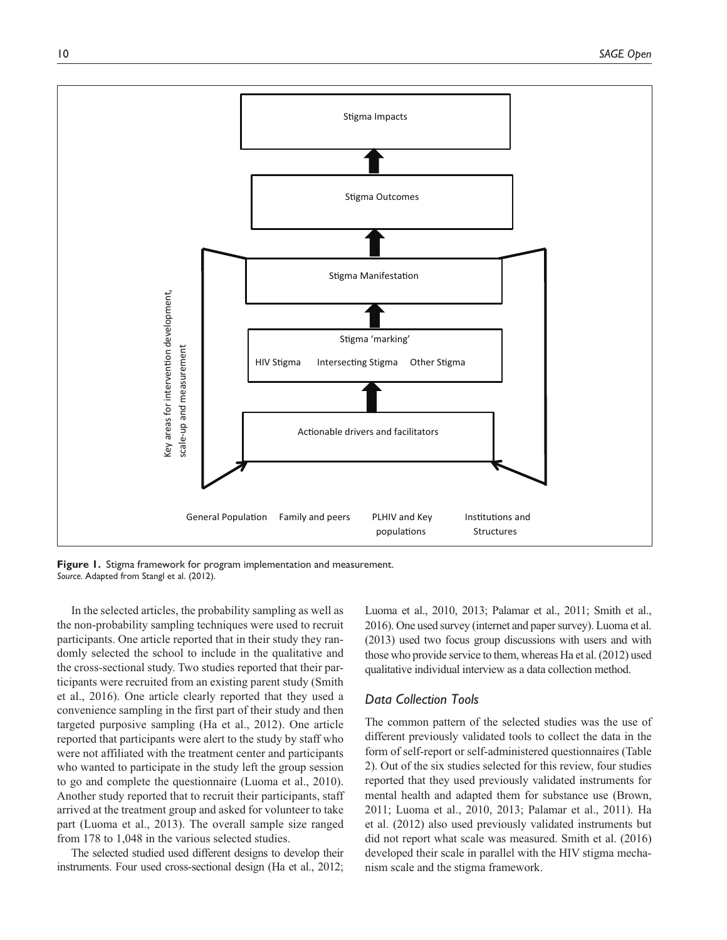

**Figure 1.** Stigma framework for program implementation and measurement. *Source.* Adapted from Stangl et al. (2012).

In the selected articles, the probability sampling as well as the non-probability sampling techniques were used to recruit participants. One article reported that in their study they randomly selected the school to include in the qualitative and the cross-sectional study. Two studies reported that their participants were recruited from an existing parent study (Smith et al., 2016). One article clearly reported that they used a convenience sampling in the first part of their study and then targeted purposive sampling (Ha et al., 2012). One article reported that participants were alert to the study by staff who were not affiliated with the treatment center and participants who wanted to participate in the study left the group session to go and complete the questionnaire (Luoma et al., 2010). Another study reported that to recruit their participants, staff arrived at the treatment group and asked for volunteer to take part (Luoma et al., 2013). The overall sample size ranged from 178 to 1,048 in the various selected studies.

The selected studied used different designs to develop their instruments. Four used cross-sectional design (Ha et al., 2012; Luoma et al., 2010, 2013; Palamar et al., 2011; Smith et al., 2016). One used survey (internet and paper survey). Luoma et al. (2013) used two focus group discussions with users and with those who provide service to them, whereas Ha et al. (2012) used qualitative individual interview as a data collection method.

## *Data Collection Tools*

The common pattern of the selected studies was the use of different previously validated tools to collect the data in the form of self-report or self-administered questionnaires (Table 2). Out of the six studies selected for this review, four studies reported that they used previously validated instruments for mental health and adapted them for substance use (Brown, 2011; Luoma et al., 2010, 2013; Palamar et al., 2011). Ha et al. (2012) also used previously validated instruments but did not report what scale was measured. Smith et al. (2016) developed their scale in parallel with the HIV stigma mechanism scale and the stigma framework.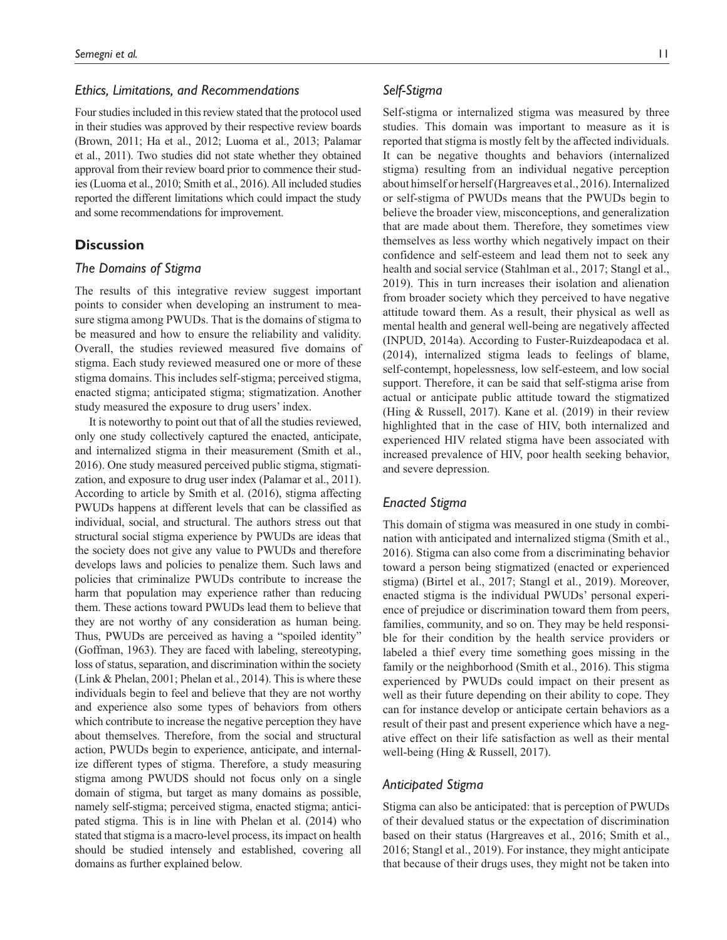## *Ethics, Limitations, and Recommendations*

Four studies included in this review stated that the protocol used in their studies was approved by their respective review boards (Brown, 2011; Ha et al., 2012; Luoma et al., 2013; Palamar et al., 2011). Two studies did not state whether they obtained approval from their review board prior to commence their studies (Luoma et al., 2010; Smith et al., 2016). All included studies reported the different limitations which could impact the study and some recommendations for improvement.

## **Discussion**

## *The Domains of Stigma*

The results of this integrative review suggest important points to consider when developing an instrument to measure stigma among PWUDs. That is the domains of stigma to be measured and how to ensure the reliability and validity. Overall, the studies reviewed measured five domains of stigma. Each study reviewed measured one or more of these stigma domains. This includes self-stigma; perceived stigma, enacted stigma; anticipated stigma; stigmatization. Another study measured the exposure to drug users' index.

It is noteworthy to point out that of all the studies reviewed, only one study collectively captured the enacted, anticipate, and internalized stigma in their measurement (Smith et al., 2016). One study measured perceived public stigma, stigmatization, and exposure to drug user index (Palamar et al., 2011). According to article by Smith et al. (2016), stigma affecting PWUDs happens at different levels that can be classified as individual, social, and structural. The authors stress out that structural social stigma experience by PWUDs are ideas that the society does not give any value to PWUDs and therefore develops laws and policies to penalize them. Such laws and policies that criminalize PWUDs contribute to increase the harm that population may experience rather than reducing them. These actions toward PWUDs lead them to believe that they are not worthy of any consideration as human being. Thus, PWUDs are perceived as having a "spoiled identity" (Goffman, 1963). They are faced with labeling, stereotyping, loss of status, separation, and discrimination within the society (Link & Phelan, 2001; Phelan et al., 2014). This is where these individuals begin to feel and believe that they are not worthy and experience also some types of behaviors from others which contribute to increase the negative perception they have about themselves. Therefore, from the social and structural action, PWUDs begin to experience, anticipate, and internalize different types of stigma. Therefore, a study measuring stigma among PWUDS should not focus only on a single domain of stigma, but target as many domains as possible, namely self-stigma; perceived stigma, enacted stigma; anticipated stigma. This is in line with Phelan et al. (2014) who stated that stigma is a macro-level process, its impact on health should be studied intensely and established, covering all domains as further explained below.

## *Self-Stigma*

Self-stigma or internalized stigma was measured by three studies. This domain was important to measure as it is reported that stigma is mostly felt by the affected individuals. It can be negative thoughts and behaviors (internalized stigma) resulting from an individual negative perception about himself or herself (Hargreaves et al., 2016). Internalized or self-stigma of PWUDs means that the PWUDs begin to believe the broader view, misconceptions, and generalization that are made about them. Therefore, they sometimes view themselves as less worthy which negatively impact on their confidence and self-esteem and lead them not to seek any health and social service (Stahlman et al., 2017; Stangl et al., 2019). This in turn increases their isolation and alienation from broader society which they perceived to have negative attitude toward them. As a result, their physical as well as mental health and general well-being are negatively affected (INPUD, 2014a). According to Fuster-Ruizdeapodaca et al. (2014), internalized stigma leads to feelings of blame, self-contempt, hopelessness, low self-esteem, and low social support. Therefore, it can be said that self-stigma arise from actual or anticipate public attitude toward the stigmatized (Hing & Russell, 2017). Kane et al. (2019) in their review highlighted that in the case of HIV, both internalized and experienced HIV related stigma have been associated with increased prevalence of HIV, poor health seeking behavior, and severe depression.

## *Enacted Stigma*

This domain of stigma was measured in one study in combination with anticipated and internalized stigma (Smith et al., 2016). Stigma can also come from a discriminating behavior toward a person being stigmatized (enacted or experienced stigma) (Birtel et al., 2017; Stangl et al., 2019). Moreover, enacted stigma is the individual PWUDs' personal experience of prejudice or discrimination toward them from peers, families, community, and so on. They may be held responsible for their condition by the health service providers or labeled a thief every time something goes missing in the family or the neighborhood (Smith et al., 2016). This stigma experienced by PWUDs could impact on their present as well as their future depending on their ability to cope. They can for instance develop or anticipate certain behaviors as a result of their past and present experience which have a negative effect on their life satisfaction as well as their mental well-being (Hing & Russell, 2017).

#### *Anticipated Stigma*

Stigma can also be anticipated: that is perception of PWUDs of their devalued status or the expectation of discrimination based on their status (Hargreaves et al., 2016; Smith et al., 2016; Stangl et al., 2019). For instance, they might anticipate that because of their drugs uses, they might not be taken into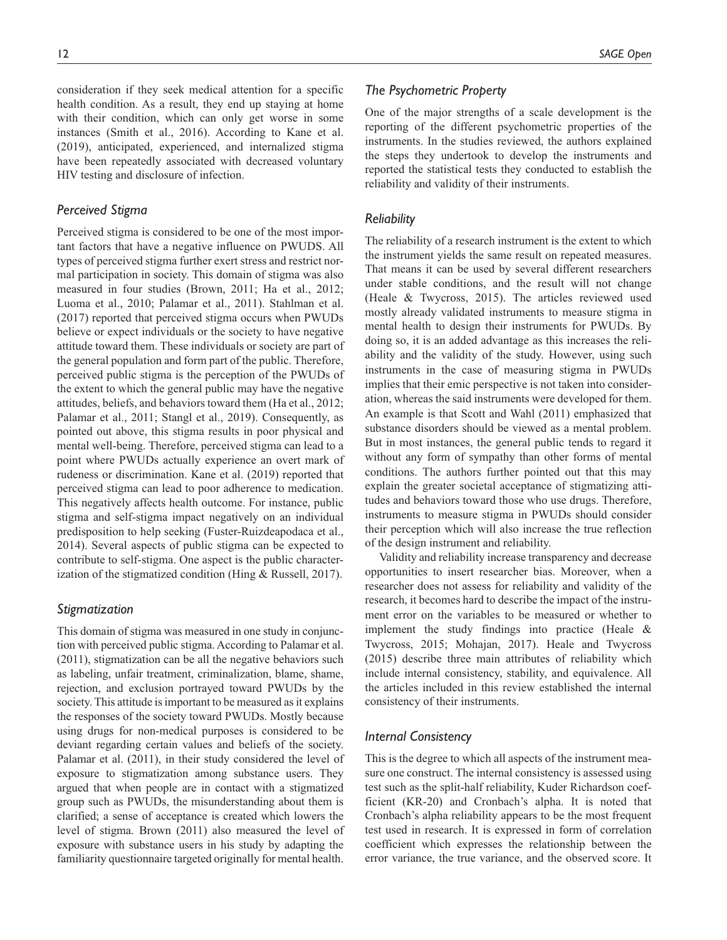consideration if they seek medical attention for a specific health condition. As a result, they end up staying at home with their condition, which can only get worse in some instances (Smith et al., 2016). According to Kane et al. (2019), anticipated, experienced, and internalized stigma have been repeatedly associated with decreased voluntary HIV testing and disclosure of infection.

## *Perceived Stigma*

Perceived stigma is considered to be one of the most important factors that have a negative influence on PWUDS. All types of perceived stigma further exert stress and restrict normal participation in society. This domain of stigma was also measured in four studies (Brown, 2011; Ha et al., 2012; Luoma et al., 2010; Palamar et al., 2011). Stahlman et al. (2017) reported that perceived stigma occurs when PWUDs believe or expect individuals or the society to have negative attitude toward them. These individuals or society are part of the general population and form part of the public. Therefore, perceived public stigma is the perception of the PWUDs of the extent to which the general public may have the negative attitudes, beliefs, and behaviors toward them (Ha et al., 2012; Palamar et al., 2011; Stangl et al., 2019). Consequently, as pointed out above, this stigma results in poor physical and mental well-being. Therefore, perceived stigma can lead to a point where PWUDs actually experience an overt mark of rudeness or discrimination. Kane et al. (2019) reported that perceived stigma can lead to poor adherence to medication. This negatively affects health outcome. For instance, public stigma and self-stigma impact negatively on an individual predisposition to help seeking (Fuster-Ruizdeapodaca et al., 2014). Several aspects of public stigma can be expected to contribute to self-stigma. One aspect is the public characterization of the stigmatized condition (Hing & Russell, 2017).

# *Stigmatization*

This domain of stigma was measured in one study in conjunction with perceived public stigma. According to Palamar et al. (2011), stigmatization can be all the negative behaviors such as labeling, unfair treatment, criminalization, blame, shame, rejection, and exclusion portrayed toward PWUDs by the society. This attitude is important to be measured as it explains the responses of the society toward PWUDs. Mostly because using drugs for non-medical purposes is considered to be deviant regarding certain values and beliefs of the society. Palamar et al. (2011), in their study considered the level of exposure to stigmatization among substance users. They argued that when people are in contact with a stigmatized group such as PWUDs, the misunderstanding about them is clarified; a sense of acceptance is created which lowers the level of stigma. Brown (2011) also measured the level of exposure with substance users in his study by adapting the familiarity questionnaire targeted originally for mental health.

## *The Psychometric Property*

One of the major strengths of a scale development is the reporting of the different psychometric properties of the instruments. In the studies reviewed, the authors explained the steps they undertook to develop the instruments and reported the statistical tests they conducted to establish the reliability and validity of their instruments.

#### *Reliability*

The reliability of a research instrument is the extent to which the instrument yields the same result on repeated measures. That means it can be used by several different researchers under stable conditions, and the result will not change (Heale & Twycross, 2015). The articles reviewed used mostly already validated instruments to measure stigma in mental health to design their instruments for PWUDs. By doing so, it is an added advantage as this increases the reliability and the validity of the study. However, using such instruments in the case of measuring stigma in PWUDs implies that their emic perspective is not taken into consideration, whereas the said instruments were developed for them. An example is that Scott and Wahl (2011) emphasized that substance disorders should be viewed as a mental problem. But in most instances, the general public tends to regard it without any form of sympathy than other forms of mental conditions. The authors further pointed out that this may explain the greater societal acceptance of stigmatizing attitudes and behaviors toward those who use drugs. Therefore, instruments to measure stigma in PWUDs should consider their perception which will also increase the true reflection of the design instrument and reliability.

Validity and reliability increase transparency and decrease opportunities to insert researcher bias. Moreover, when a researcher does not assess for reliability and validity of the research, it becomes hard to describe the impact of the instrument error on the variables to be measured or whether to implement the study findings into practice (Heale & Twycross, 2015; Mohajan, 2017). Heale and Twycross (2015) describe three main attributes of reliability which include internal consistency, stability, and equivalence. All the articles included in this review established the internal consistency of their instruments.

## *Internal Consistency*

This is the degree to which all aspects of the instrument measure one construct. The internal consistency is assessed using test such as the split-half reliability, Kuder Richardson coefficient (KR-20) and Cronbach's alpha. It is noted that Cronbach's alpha reliability appears to be the most frequent test used in research. It is expressed in form of correlation coefficient which expresses the relationship between the error variance, the true variance, and the observed score. It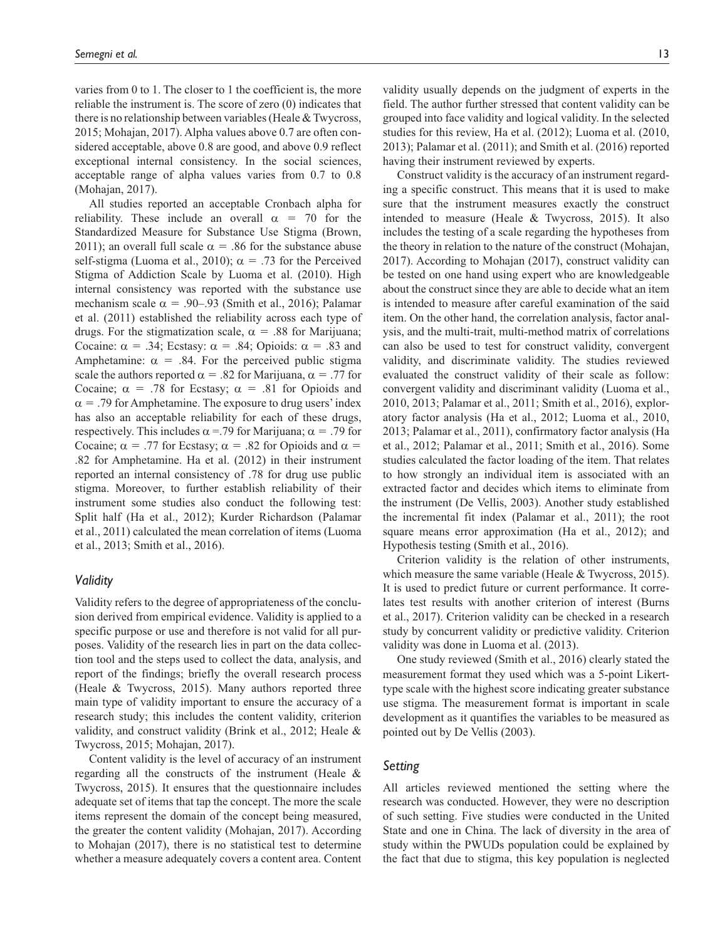varies from 0 to 1. The closer to 1 the coefficient is, the more reliable the instrument is. The score of zero (0) indicates that there is no relationship between variables (Heale & Twycross, 2015; Mohajan, 2017). Alpha values above 0.7 are often considered acceptable, above 0.8 are good, and above 0.9 reflect exceptional internal consistency. In the social sciences, acceptable range of alpha values varies from 0.7 to 0.8 (Mohajan, 2017).

All studies reported an acceptable Cronbach alpha for reliability. These include an overall  $\alpha = 70$  for the Standardized Measure for Substance Use Stigma (Brown, 2011); an overall full scale  $\alpha = .86$  for the substance abuse self-stigma (Luoma et al., 2010);  $\alpha = .73$  for the Perceived Stigma of Addiction Scale by Luoma et al. (2010). High internal consistency was reported with the substance use mechanism scale  $\alpha = .90-.93$  (Smith et al., 2016); Palamar et al. (2011) established the reliability across each type of drugs. For the stigmatization scale,  $\alpha = .88$  for Marijuana; Cocaine:  $\alpha = .34$ ; Ecstasy:  $\alpha = .84$ ; Opioids:  $\alpha = .83$  and Amphetamine:  $\alpha$  = .84. For the perceived public stigma scale the authors reported  $\alpha = .82$  for Marijuana,  $\alpha = .77$  for Cocaine;  $\alpha = .78$  for Ecstasy;  $\alpha = .81$  for Opioids and  $\alpha$  = .79 for Amphetamine. The exposure to drug users' index has also an acceptable reliability for each of these drugs, respectively. This includes  $\alpha$  = .79 for Marijuana;  $\alpha$  = .79 for Cocaine;  $\alpha$  = .77 for Ecstasy;  $\alpha$  = .82 for Opioids and  $\alpha$  = .82 for Amphetamine. Ha et al. (2012) in their instrument reported an internal consistency of .78 for drug use public stigma. Moreover, to further establish reliability of their instrument some studies also conduct the following test: Split half (Ha et al., 2012); Kurder Richardson (Palamar et al., 2011) calculated the mean correlation of items (Luoma et al., 2013; Smith et al., 2016).

#### *Validity*

Validity refers to the degree of appropriateness of the conclusion derived from empirical evidence. Validity is applied to a specific purpose or use and therefore is not valid for all purposes. Validity of the research lies in part on the data collection tool and the steps used to collect the data, analysis, and report of the findings; briefly the overall research process (Heale & Twycross, 2015). Many authors reported three main type of validity important to ensure the accuracy of a research study; this includes the content validity, criterion validity, and construct validity (Brink et al., 2012; Heale & Twycross, 2015; Mohajan, 2017).

Content validity is the level of accuracy of an instrument regarding all the constructs of the instrument (Heale & Twycross, 2015). It ensures that the questionnaire includes adequate set of items that tap the concept. The more the scale items represent the domain of the concept being measured, the greater the content validity (Mohajan, 2017). According to Mohajan (2017), there is no statistical test to determine whether a measure adequately covers a content area. Content

validity usually depends on the judgment of experts in the field. The author further stressed that content validity can be grouped into face validity and logical validity. In the selected studies for this review, Ha et al. (2012); Luoma et al. (2010, 2013); Palamar et al. (2011); and Smith et al. (2016) reported having their instrument reviewed by experts.

Construct validity is the accuracy of an instrument regarding a specific construct. This means that it is used to make sure that the instrument measures exactly the construct intended to measure (Heale & Twycross, 2015). It also includes the testing of a scale regarding the hypotheses from the theory in relation to the nature of the construct (Mohajan, 2017). According to Mohajan (2017), construct validity can be tested on one hand using expert who are knowledgeable about the construct since they are able to decide what an item is intended to measure after careful examination of the said item. On the other hand, the correlation analysis, factor analysis, and the multi-trait, multi-method matrix of correlations can also be used to test for construct validity, convergent validity, and discriminate validity. The studies reviewed evaluated the construct validity of their scale as follow: convergent validity and discriminant validity (Luoma et al., 2010, 2013; Palamar et al., 2011; Smith et al., 2016), exploratory factor analysis (Ha et al., 2012; Luoma et al., 2010, 2013; Palamar et al., 2011), confirmatory factor analysis (Ha et al., 2012; Palamar et al., 2011; Smith et al., 2016). Some studies calculated the factor loading of the item. That relates to how strongly an individual item is associated with an extracted factor and decides which items to eliminate from the instrument (De Vellis, 2003). Another study established the incremental fit index (Palamar et al., 2011); the root square means error approximation (Ha et al., 2012); and Hypothesis testing (Smith et al., 2016).

Criterion validity is the relation of other instruments, which measure the same variable (Heale & Twycross, 2015). It is used to predict future or current performance. It correlates test results with another criterion of interest (Burns et al., 2017). Criterion validity can be checked in a research study by concurrent validity or predictive validity. Criterion validity was done in Luoma et al. (2013).

One study reviewed (Smith et al., 2016) clearly stated the measurement format they used which was a 5-point Likerttype scale with the highest score indicating greater substance use stigma. The measurement format is important in scale development as it quantifies the variables to be measured as pointed out by De Vellis (2003).

#### *Setting*

All articles reviewed mentioned the setting where the research was conducted. However, they were no description of such setting. Five studies were conducted in the United State and one in China. The lack of diversity in the area of study within the PWUDs population could be explained by the fact that due to stigma, this key population is neglected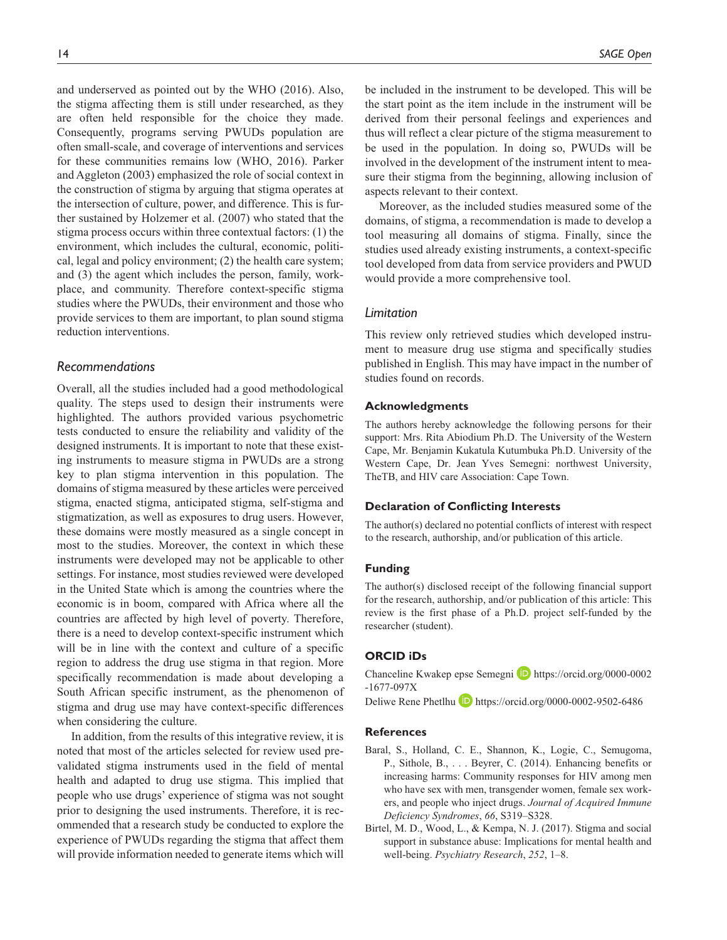and underserved as pointed out by the WHO (2016). Also, the stigma affecting them is still under researched, as they are often held responsible for the choice they made. Consequently, programs serving PWUDs population are often small-scale, and coverage of interventions and services for these communities remains low (WHO, 2016). Parker and Aggleton (2003) emphasized the role of social context in the construction of stigma by arguing that stigma operates at the intersection of culture, power, and difference. This is further sustained by Holzemer et al. (2007) who stated that the stigma process occurs within three contextual factors: (1) the environment, which includes the cultural, economic, political, legal and policy environment; (2) the health care system; and (3) the agent which includes the person, family, workplace, and community. Therefore context-specific stigma studies where the PWUDs, their environment and those who provide services to them are important, to plan sound stigma reduction interventions.

#### *Recommendations*

Overall, all the studies included had a good methodological quality. The steps used to design their instruments were highlighted. The authors provided various psychometric tests conducted to ensure the reliability and validity of the designed instruments. It is important to note that these existing instruments to measure stigma in PWUDs are a strong key to plan stigma intervention in this population. The domains of stigma measured by these articles were perceived stigma, enacted stigma, anticipated stigma, self-stigma and stigmatization, as well as exposures to drug users. However, these domains were mostly measured as a single concept in most to the studies. Moreover, the context in which these instruments were developed may not be applicable to other settings. For instance, most studies reviewed were developed in the United State which is among the countries where the economic is in boom, compared with Africa where all the countries are affected by high level of poverty. Therefore, there is a need to develop context-specific instrument which will be in line with the context and culture of a specific region to address the drug use stigma in that region. More specifically recommendation is made about developing a South African specific instrument, as the phenomenon of stigma and drug use may have context-specific differences when considering the culture.

In addition, from the results of this integrative review, it is noted that most of the articles selected for review used prevalidated stigma instruments used in the field of mental health and adapted to drug use stigma. This implied that people who use drugs' experience of stigma was not sought prior to designing the used instruments. Therefore, it is recommended that a research study be conducted to explore the experience of PWUDs regarding the stigma that affect them will provide information needed to generate items which will

be included in the instrument to be developed. This will be the start point as the item include in the instrument will be derived from their personal feelings and experiences and thus will reflect a clear picture of the stigma measurement to be used in the population. In doing so, PWUDs will be involved in the development of the instrument intent to measure their stigma from the beginning, allowing inclusion of aspects relevant to their context.

Moreover, as the included studies measured some of the domains, of stigma, a recommendation is made to develop a tool measuring all domains of stigma. Finally, since the studies used already existing instruments, a context-specific tool developed from data from service providers and PWUD would provide a more comprehensive tool.

### *Limitation*

This review only retrieved studies which developed instrument to measure drug use stigma and specifically studies published in English. This may have impact in the number of studies found on records.

#### **Acknowledgments**

The authors hereby acknowledge the following persons for their support: Mrs. Rita Abiodium Ph.D. The University of the Western Cape, Mr. Benjamin Kukatula Kutumbuka Ph.D. University of the Western Cape, Dr. Jean Yves Semegni: northwest University, TheTB, and HIV care Association: Cape Town.

#### **Declaration of Conflicting Interests**

The author(s) declared no potential conflicts of interest with respect to the research, authorship, and/or publication of this article.

#### **Funding**

The author(s) disclosed receipt of the following financial support for the research, authorship, and/or publication of this article: This review is the first phase of a Ph.D. project self-funded by the researcher (student).

#### **ORCID iDs**

Chanceline Kwakep epse Semegni <sup>D</sup> [https://orcid.org/0000-0002](https://orcid.org/0000-0002
-1677-097X) [-1677-097X](https://orcid.org/0000-0002
-1677-097X)

Deliwe Rene Phetlhu **D** <https://orcid.org/0000-0002-9502-6486>

#### **References**

- Baral, S., Holland, C. E., Shannon, K., Logie, C., Semugoma, P., Sithole, B., . . . Beyrer, C. (2014). Enhancing benefits or increasing harms: Community responses for HIV among men who have sex with men, transgender women, female sex workers, and people who inject drugs. *Journal of Acquired Immune Deficiency Syndromes*, *66*, S319–S328.
- Birtel, M. D., Wood, L., & Kempa, N. J. (2017). Stigma and social support in substance abuse: Implications for mental health and well-being. *Psychiatry Research*, *252*, 1–8.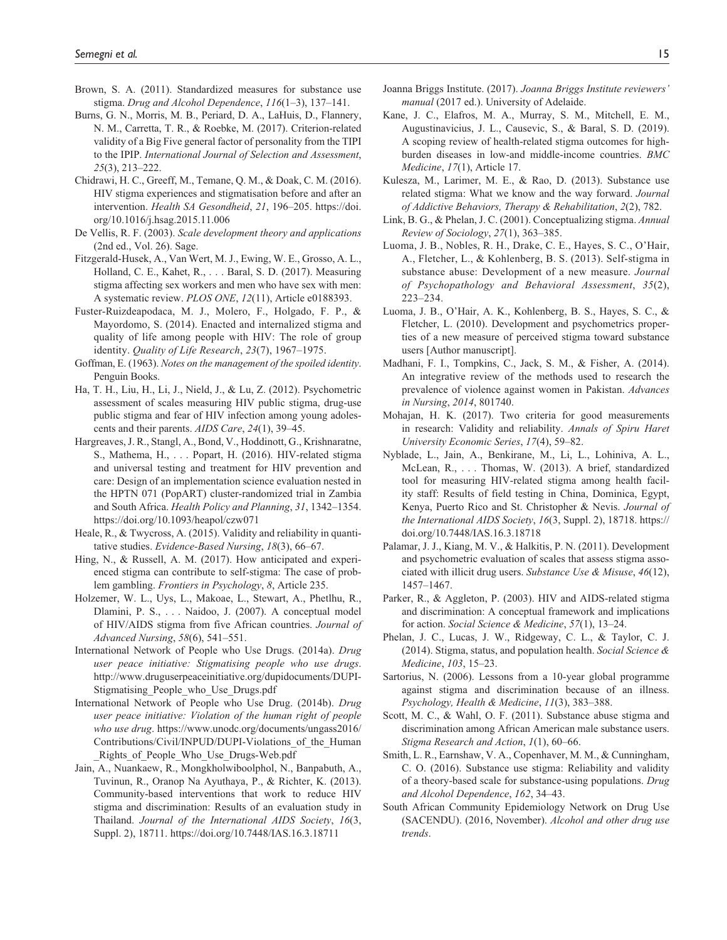- Brown, S. A. (2011). Standardized measures for substance use stigma. *Drug and Alcohol Dependence*, *116*(1–3), 137–141.
- Burns, G. N., Morris, M. B., Periard, D. A., LaHuis, D., Flannery, N. M., Carretta, T. R., & Roebke, M. (2017). Criterion-related validity of a Big Five general factor of personality from the TIPI to the IPIP. *International Journal of Selection and Assessment*, *25*(3), 213–222.
- Chidrawi, H. C., Greeff, M., Temane, Q. M., & Doak, C. M. (2016). HIV stigma experiences and stigmatisation before and after an intervention. *Health SA Gesondheid*, *21*, 196–205. [https://doi.](https://doi.org/10.1016/j.hsag.2015.11.006) [org/10.1016/j.hsag.2015.11.006](https://doi.org/10.1016/j.hsag.2015.11.006)
- De Vellis, R. F. (2003). *Scale development theory and applications* (2nd ed., Vol. 26). Sage.
- Fitzgerald-Husek, A., Van Wert, M. J., Ewing, W. E., Grosso, A. L., Holland, C. E., Kahet, R., . . . Baral, S. D. (2017). Measuring stigma affecting sex workers and men who have sex with men: A systematic review. *PLOS ONE*, *12*(11), Article e0188393.
- Fuster-Ruizdeapodaca, M. J., Molero, F., Holgado, F. P., & Mayordomo, S. (2014). Enacted and internalized stigma and quality of life among people with HIV: The role of group identity. *Quality of Life Research*, *23*(7), 1967–1975.
- Goffman, E. (1963). *Notes on the management of the spoiled identity*. Penguin Books.
- Ha, T. H., Liu, H., Li, J., Nield, J., & Lu, Z. (2012). Psychometric assessment of scales measuring HIV public stigma, drug-use public stigma and fear of HIV infection among young adolescents and their parents. *AIDS Care*, *24*(1), 39–45.
- Hargreaves, J. R., Stangl, A., Bond, V., Hoddinott, G., Krishnaratne, S., Mathema, H., . . . Popart, H. (2016). HIV-related stigma and universal testing and treatment for HIV prevention and care: Design of an implementation science evaluation nested in the HPTN 071 (PopART) cluster-randomized trial in Zambia and South Africa. *Health Policy and Planning*, *31*, 1342–1354. <https://doi.org/10.1093/heapol/czw071>
- Heale, R., & Twycross, A. (2015). Validity and reliability in quantitative studies. *Evidence-Based Nursing*, *18*(3), 66–67.
- Hing, N., & Russell, A. M. (2017). How anticipated and experienced stigma can contribute to self-stigma: The case of problem gambling. *Frontiers in Psychology*, *8*, Article 235.
- Holzemer, W. L., Uys, L., Makoae, L., Stewart, A., Phetlhu, R., Dlamini, P. S., . . . Naidoo, J. (2007). A conceptual model of HIV/AIDS stigma from five African countries. *Journal of Advanced Nursing*, *58*(6), 541–551.
- International Network of People who Use Drugs. (2014a). *Drug user peace initiative: Stigmatising people who use drugs*. [http://www.druguserpeaceinitiative.org/dupidocuments/DUPI-](http://www.druguserpeaceinitiative.org/dupidocuments/DUPI-Stigmatising_People_who_Use_Drugs.pdf)[Stigmatising\\_People\\_who\\_Use\\_Drugs.pdf](http://www.druguserpeaceinitiative.org/dupidocuments/DUPI-Stigmatising_People_who_Use_Drugs.pdf)
- International Network of People who Use Drug. (2014b). *Drug user peace initiative: Violation of the human right of people who use drug*. [https://www.unodc.org/documents/ungass2016/](https://www.unodc.org/documents/ungass2016/Contributions/Civil/INPUD/DUPI-Violations_of_the_Human_Rights_of_People_Who_Use_Drugs-Web.pdf) [Contributions/Civil/INPUD/DUPI-Violations\\_of\\_the\\_Human](https://www.unodc.org/documents/ungass2016/Contributions/Civil/INPUD/DUPI-Violations_of_the_Human_Rights_of_People_Who_Use_Drugs-Web.pdf) Rights of People Who Use Drugs-Web.pdf
- Jain, A., Nuankaew, R., Mongkholwiboolphol, N., Banpabuth, A., Tuvinun, R., Oranop Na Ayuthaya, P., & Richter, K. (2013). Community-based interventions that work to reduce HIV stigma and discrimination: Results of an evaluation study in Thailand. *Journal of the International AIDS Society*, *16*(3, Suppl. 2), 18711. <https://doi.org/10.7448/IAS.16.3.18711>
- Joanna Briggs Institute. (2017). *Joanna Briggs Institute reviewers' manual* (2017 ed.). University of Adelaide.
- Kane, J. C., Elafros, M. A., Murray, S. M., Mitchell, E. M., Augustinavicius, J. L., Causevic, S., & Baral, S. D. (2019). A scoping review of health-related stigma outcomes for highburden diseases in low-and middle-income countries. *BMC Medicine*, *17*(1), Article 17.
- Kulesza, M., Larimer, M. E., & Rao, D. (2013). Substance use related stigma: What we know and the way forward. *Journal of Addictive Behaviors, Therapy & Rehabilitation*, *2*(2), 782.
- Link, B. G., & Phelan, J. C. (2001). Conceptualizing stigma. *Annual Review of Sociology*, *27*(1), 363–385.
- Luoma, J. B., Nobles, R. H., Drake, C. E., Hayes, S. C., O'Hair, A., Fletcher, L., & Kohlenberg, B. S. (2013). Self-stigma in substance abuse: Development of a new measure. *Journal of Psychopathology and Behavioral Assessment*, *35*(2), 223–234.
- Luoma, J. B., O'Hair, A. K., Kohlenberg, B. S., Hayes, S. C., & Fletcher, L. (2010). Development and psychometrics properties of a new measure of perceived stigma toward substance users [Author manuscript].
- Madhani, F. I., Tompkins, C., Jack, S. M., & Fisher, A. (2014). An integrative review of the methods used to research the prevalence of violence against women in Pakistan. *Advances in Nursing*, *2014*, 801740.
- Mohajan, H. K. (2017). Two criteria for good measurements in research: Validity and reliability. *Annals of Spiru Haret University Economic Series*, *17*(4), 59–82.
- Nyblade, L., Jain, A., Benkirane, M., Li, L., Lohiniva, A. L., McLean, R., . . . Thomas, W. (2013). A brief, standardized tool for measuring HIV-related stigma among health facility staff: Results of field testing in China, Dominica, Egypt, Kenya, Puerto Rico and St. Christopher & Nevis. *Journal of the International AIDS Society*, *16*(3, Suppl. 2), 18718. [https://](https://doi.org/10.7448/IAS.16.3.18718) [doi.org/10.7448/IAS.16.3.18718](https://doi.org/10.7448/IAS.16.3.18718)
- Palamar, J. J., Kiang, M. V., & Halkitis, P. N. (2011). Development and psychometric evaluation of scales that assess stigma associated with illicit drug users. *Substance Use & Misuse*, *46*(12), 1457–1467.
- Parker, R., & Aggleton, P. (2003). HIV and AIDS-related stigma and discrimination: A conceptual framework and implications for action. *Social Science & Medicine*, *57*(1), 13–24.
- Phelan, J. C., Lucas, J. W., Ridgeway, C. L., & Taylor, C. J. (2014). Stigma, status, and population health. *Social Science & Medicine*, *103*, 15–23.
- Sartorius, N. (2006). Lessons from a 10-year global programme against stigma and discrimination because of an illness. *Psychology, Health & Medicine*, *11*(3), 383–388.
- Scott, M. C., & Wahl, O. F. (2011). Substance abuse stigma and discrimination among African American male substance users. *Stigma Research and Action*, *1*(1), 60–66.
- Smith, L. R., Earnshaw, V. A., Copenhaver, M. M., & Cunningham, C. O. (2016). Substance use stigma: Reliability and validity of a theory-based scale for substance-using populations. *Drug and Alcohol Dependence*, *162*, 34–43.
- South African Community Epidemiology Network on Drug Use (SACENDU). (2016, November). *Alcohol and other drug use trends*.